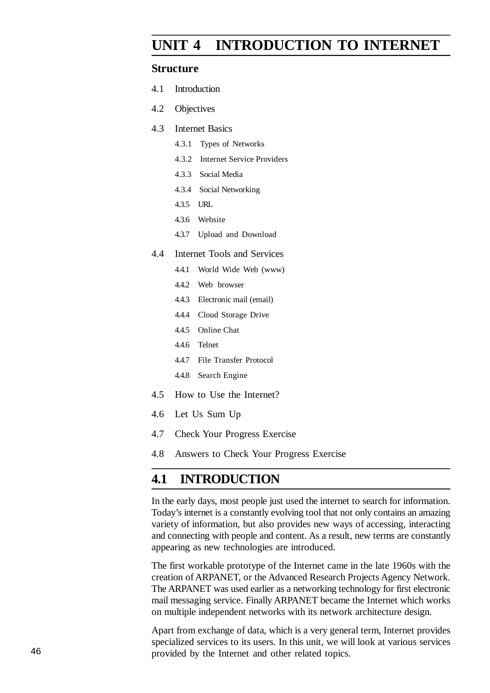# **UNIT 4 INTRODUCTION TO INTERNET**

#### **Structure**

- 4.1 Introduction
- 4.2 Objectives
- 4.3 Internet Basics
	- 4.3.1 Types of Networks
	- 4.3.2 Internet Service Providers
	- 4.3.3 Social Media
	- 4.3.4 Social Networking
	- 4.3.5 URL
	- 4.3.6 Website
	- 4.3.7 Upload and Download

#### 4.4 Internet Tools and Services

- 4.4.1 World Wide Web (www)
- 4.4.2 Web browser
- 4.4.3 Electronic mail (email)
- 4.4.4 Cloud Storage Drive
- 4.4.5 Online Chat
- 4.4.6 Telnet
- 4.4.7 File Transfer Protocol
- 4.4.8 Search Engine
- 4.5 How to Use the Internet?
- 4.6 Let Us Sum Up
- 4.7 Check Your Progress Exercise
- 4.8 Answers to Check Your Progress Exercise

### **4.1 INTRODUCTION**

In the early days, most people just used the internet to search for information. Today's internet is a constantly evolving tool that not only contains an amazing variety of information, but also provides new ways of accessing, interacting and connecting with people and content. As a result, new terms are constantly appearing as new technologies are introduced.

The first workable prototype of the Internet came in the late 1960s with the creation of ARPANET, or the Advanced Research Projects Agency Network. The ARPANET was used earlier as a networking technology for first electronic mail messaging service. Finally ARPANET became the Internet which works on multiple independent networks with its network architecture design.

Apart from exchange of data, which is a very general term, Internet provides specialized services to its users. In this unit, we will look at various services provided by the Internet and other related topics.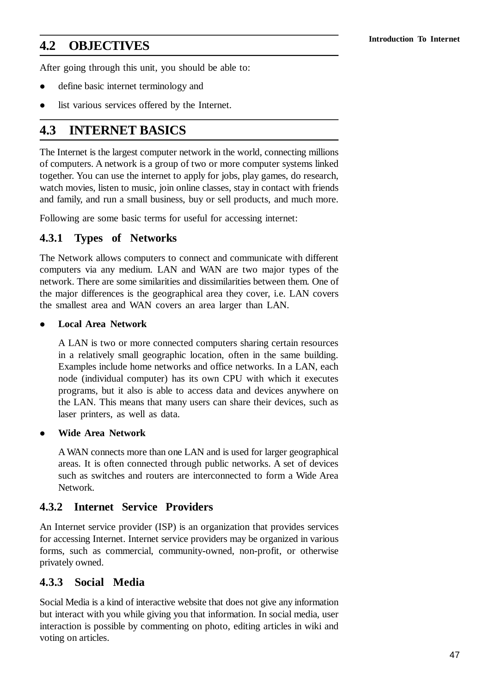# **Introduction To Internet 4.2 OBJECTIVES**

After going through this unit, you should be able to:

- define basic internet terminology and
- list various services offered by the Internet.

## **4.3 INTERNET BASICS**

The Internet is the largest computer network in the world, connecting millions of computers. A network is a group of two or more computer systems linked together. You can use the internet to apply for jobs, play games, do research, watch movies, listen to music, join online classes, stay in contact with friends and family, and run a small business, buy or sell products, and much more.

Following are some basic terms for useful for accessing internet:

### **4.3.1 Types of Networks**

The Network allows computers to connect and communicate with different computers via any medium. LAN and WAN are two major types of the network. There are some similarities and dissimilarities between them. One of the major differences is the geographical area they cover, i.e. LAN covers the smallest area and WAN covers an area larger than LAN.

#### **Local Area Network**

A LAN is two or more connected computers sharing certain resources in a relatively small geographic location, often in the same building. Examples include home networks and office networks. In a LAN, each node (individual computer) has its own CPU with which it executes programs, but it also is able to access data and devices anywhere on the LAN. This means that many users can share their devices, such as laser printers, as well as data.

**Wide Area Network**

A WAN connects more than one LAN and is used for larger geographical areas. It is often connected through public networks. A set of devices such as switches and routers are interconnected to form a Wide Area Network.

### **4.3.2 Internet Service Providers**

An Internet service provider (ISP) is an organization that provides services for accessing Internet. Internet service providers may be organized in various forms, such as commercial, community-owned, non-profit, or otherwise privately owned.

### **4.3.3 Social Media**

Social Media is a kind of interactive website that does not give any information but interact with you while giving you that information. In social media, user interaction is possible by commenting on photo, editing articles in wiki and voting on articles.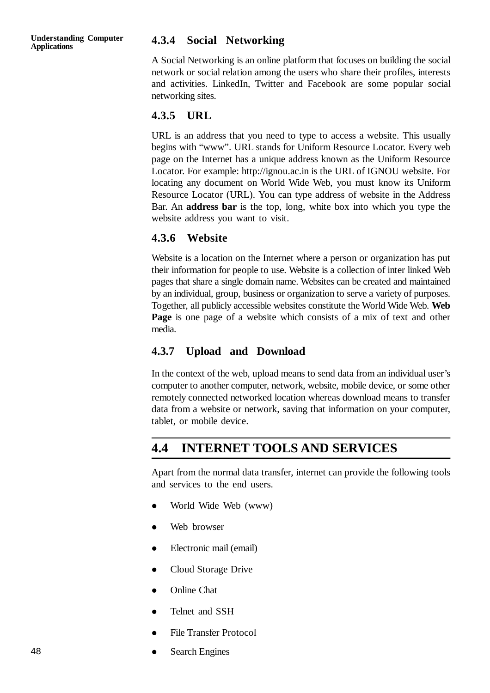#### **Applications 4.3.4 Social Networking**

A Social Networking is an online platform that focuses on building the social network or social relation among the users who share their profiles, interests and activities. LinkedIn, Twitter and Facebook are some popular social networking sites.

#### **4.3.5 URL**

URL is an address that you need to type to access a website. This usually begins with "www". URL stands for Uniform Resource Locator. Every web page on the Internet has a unique address known as the Uniform Resource Locator. For example: http://ignou.ac.in is the URL of IGNOU website. For locating any document on World Wide Web, you must know its Uniform Resource Locator (URL). You can type address of website in the Address Bar. An **address bar** is the top, long, white box into which you type the website address you want to visit.

#### **4.3.6 Website**

Website is a location on the Internet where a person or organization has put their information for people to use. Website is a collection of inter linked Web pages that share a single domain name. Websites can be created and maintained by an individual, group, business or organization to serve a variety of purposes. Together, all publicly accessible websites constitute the World Wide Web. **Web Page** is one page of a website which consists of a mix of text and other media.

#### **4.3.7 Upload and Download**

In the context of the web, upload means to send data from an individual user's computer to another computer, network, website, mobile device, or some other remotely connected networked location whereas download means to transfer data from a website or network, saving that information on your computer, tablet, or mobile device.

### **4.4 INTERNET TOOLS AND SERVICES**

Apart from the normal data transfer, internet can provide the following tools and services to the end users.

- World Wide Web (www)
- Web browser
- Electronic mail (email)
- Cloud Storage Drive
- Online Chat
- Telnet and SSH
- File Transfer Protocol
- Search Engines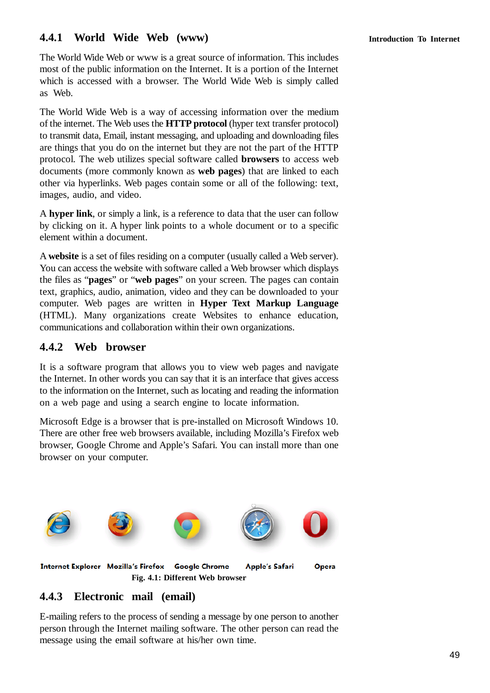### **4.4.1 World Wide Web (www) Introduction To Internet**

The World Wide Web or www is a great source of information. This includes most of the public information on the Internet. It is a portion of the Internet which is accessed with a browser. The World Wide Web is simply called as Web.

The World Wide Web is a way of accessing information over the medium of the internet. The Web uses the **HTTP protocol** (hyper text transfer protocol) to transmit data, Email, instant messaging, and uploading and downloading files are things that you do on the internet but they are not the part of the HTTP protocol. The web utilizes special software called **browsers** to access web documents (more commonly known as **web pages**) that are linked to each other via hyperlinks. Web pages contain some or all of the following: text, images, audio, and video.

A **hyper link**, or simply a link, is a reference to data that the user can follow by clicking on it. A hyper link points to a whole document or to a specific element within a document.

A **website** is a set of files residing on a computer (usually called a Web server). You can access the website with software called a Web browser which displays the files as "**pages**" or "**web pages**" on your screen. The pages can contain text, graphics, audio, animation, video and they can be downloaded to your computer. Web pages are written in **Hyper Text Markup Language** (HTML). Many organizations create Websites to enhance education, communications and collaboration within their own organizations.

### **4.4.2 Web browser**

It is a software program that allows you to view web pages and navigate the Internet. In other words you can say that it is an interface that gives access to the information on the Internet, such as locating and reading the information on a web page and using a search engine to locate information.

Microsoft Edge is a browser that is pre-installed on Microsoft Windows 10. There are other free web browsers available, including Mozilla's Firefox web browser, Google Chrome and Apple's Safari. You can install more than one browser on your computer.



### **4.4.3 Electronic mail (email)**

E-mailing refers to the process of sending a message by one person to another person through the Internet mailing software. The other person can read the message using the email software at his/her own time.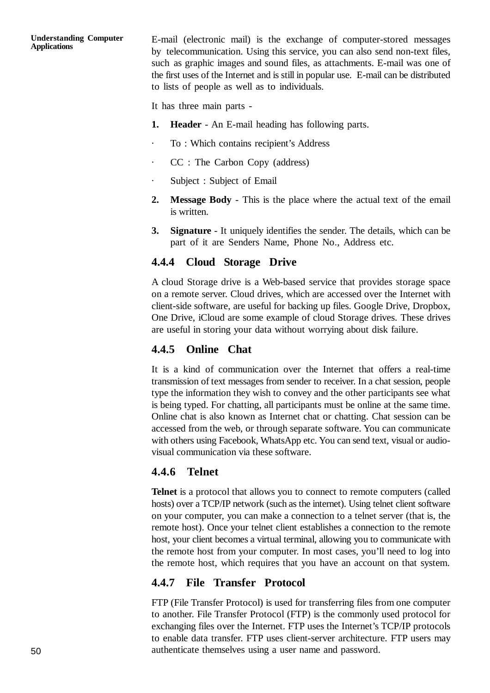E-mail (electronic mail) is the exchange of computer-stored messages by telecommunication. Using this service, you can also send non-text files, such as graphic images and sound files, as attachments. E-mail was one of the first uses of the Internet and is still in popular use. E-mail can be distributed to lists of people as well as to individuals.

It has three main parts -

- **1. Header** An E-mail heading has following parts.
- · To : Which contains recipient's Address
- · CC : The Carbon Copy (address)
- · Subject : Subject of Email
- **2. Message Body** This is the place where the actual text of the email is written.
- **3. Signature** It uniquely identifies the sender. The details, which can be part of it are Senders Name, Phone No., Address etc.

#### **4.4.4 Cloud Storage Drive**

A cloud Storage drive is a Web-based service that provides storage space on a remote server. Cloud drives, which are accessed over the Internet with client-side software, are useful for backing up files. Google Drive, Dropbox, One Drive, iCloud are some example of cloud Storage drives. These drives are useful in storing your data without worrying about disk failure.

### **4.4.5 Online Chat**

It is a kind of communication over the Internet that offers a real-time transmission of text messages from sender to receiver. In a chat session, people type the information they wish to convey and the other participants see what is being typed. For chatting, all participants must be online at the same time. Online chat is also known as Internet chat or chatting. Chat session can be accessed from the web, or through separate software. You can communicate with others using Facebook, WhatsApp etc. You can send text, visual or audiovisual communication via these software.

#### **4.4.6 Telnet**

**Telnet** is a protocol that allows you to connect to remote computers (called hosts) over a TCP/IP network (such as the internet). Using telnet client software on your computer, you can make a connection to a telnet server (that is, the remote host). Once your telnet client establishes a connection to the remote host, your client becomes a virtual terminal, allowing you to communicate with the remote host from your computer. In most cases, you'll need to log into the remote host, which requires that you have an account on that system.

### **4.4.7 File Transfer Protocol**

FTP (File Transfer Protocol) is used for transferring files from one computer to another. File Transfer Protocol (FTP) is the commonly used protocol for exchanging files over the Internet. FTP uses the Internet's TCP/IP protocols to enable data transfer. FTP uses client-server architecture. FTP users may authenticate themselves using a user name and password.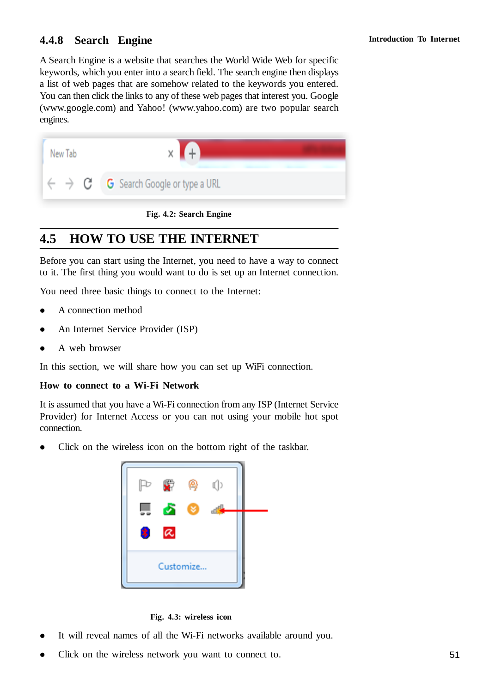### **4.4.8 Search Engine Introduction To Internet**

A Search Engine is a website that searches the World Wide Web for specific keywords, which you enter into a search field. The search engine then displays a list of web pages that are somehow related to the keywords you entered. You can then click the links to any of these web pages that interest you. Google (www.google.com) and Yahoo! (www.yahoo.com) are two popular search engines.



**Fig. 4.2: Search Engine**

## **4.5 HOW TO USE THE INTERNET**

Before you can start using the Internet, you need to have a way to connect to it. The first thing you would want to do is set up an Internet connection.

You need three basic things to connect to the Internet:

- A connection method
- An Internet Service Provider (ISP)
- A web browser

In this section, we will share how you can set up WiFi connection.

#### **How to connect to a Wi-Fi Network**

It is assumed that you have a Wi-Fi connection from any ISP (Internet Service Provider) for Internet Access or you can not using your mobile hot spot connection.

Click on the wireless icon on the bottom right of the taskbar.



**Fig. 4.3: wireless icon**

- It will reveal names of all the Wi-Fi networks available around you.
- Click on the wireless network you want to connect to.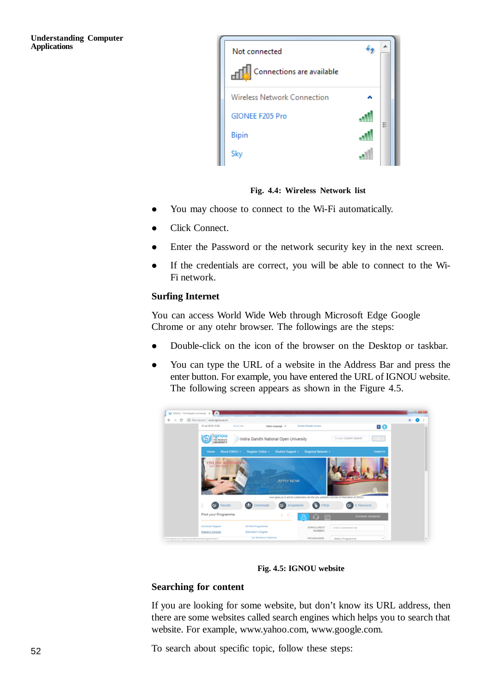

**Fig. 4.4: Wireless Network list**

- You may choose to connect to the Wi-Fi automatically.
- Click Connect.
- Enter the Password or the network security key in the next screen.
- If the credentials are correct, you will be able to connect to the Wi-Fi network.

#### **Surfing Internet**

You can access World Wide Web through Microsoft Edge Google Chrome or any otehr browser. The followings are the steps:

- Double-click on the icon of the browser on the Desktop or taskbar.
- You can type the URL of a website in the Address Bar and press the enter button. For example, you have entered the URL of IGNOU website. The following screen appears as shown in the Figure 4.5.



**Fig. 4.5: IGNOU website**

#### **Searching for content**

If you are looking for some website, but don't know its URL address, then there are some websites called search engines which helps you to search that website. For example, www.yahoo.com, www.google.com.

To search about specific topic, follow these steps: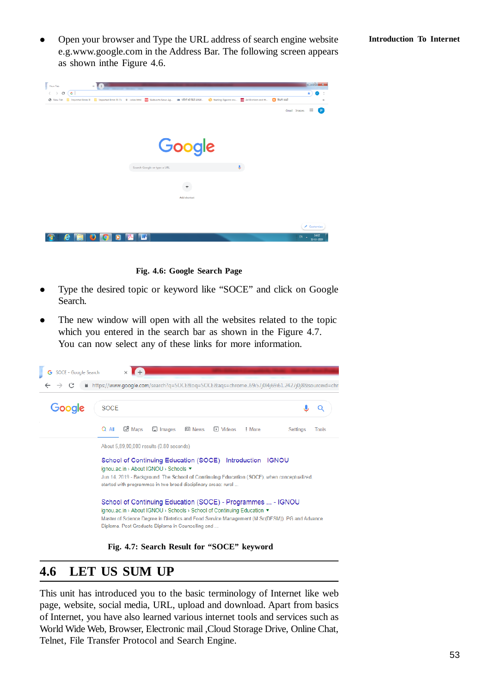Open your browser and Type the URL address of search engine website **Introduction To Internet** e.g.www.google.com in the Address Bar. The following screen appears as shown inthe Figure 4.6.



**Fig. 4.6: Google Search Page**

- Type the desired topic or keyword like "SOCE" and click on Google Search.
- The new window will open with all the websites related to the topic which you entered in the search bar as shown in the Figure 4.7. You can now select any of these links for more information.



**Fig. 4.7: Search Result for "SOCE" keyword**

### **4.6 LET US SUM UP**

This unit has introduced you to the basic terminology of Internet like web page, website, social media, URL, upload and download. Apart from basics of Internet, you have also learned various internet tools and services such as World Wide Web, Browser, Electronic mail ,Cloud Storage Drive, Online Chat, Telnet, File Transfer Protocol and Search Engine.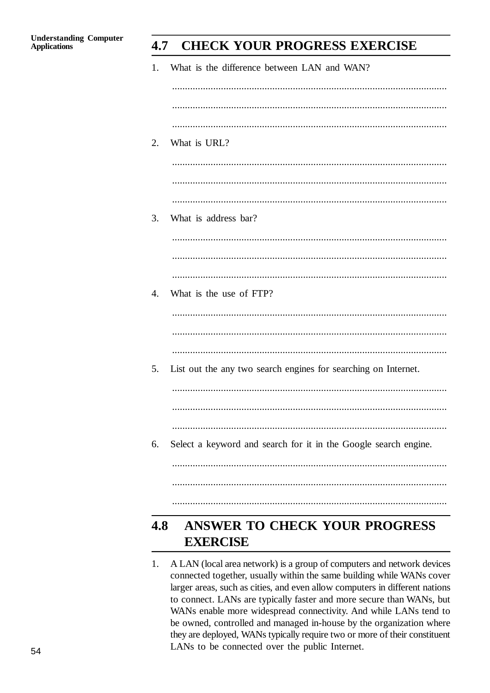#### 4.7 **CHECK YOUR PROGRESS EXERCISE**

| 1.  | What is the difference between LAN and WAN?                     |
|-----|-----------------------------------------------------------------|
|     |                                                                 |
| 2.  | What is URL?                                                    |
|     |                                                                 |
| 3.  | What is address bar?                                            |
|     |                                                                 |
| 4.  | What is the use of FTP?                                         |
|     |                                                                 |
| 5.  | List out the any two search engines for searching on Internet.  |
|     |                                                                 |
| 6.  | Select a keyword and search for it in the Google search engine. |
|     |                                                                 |
|     |                                                                 |
| 4.8 | <b>ANSWER TO CHECK YOUR PROGRESS</b><br><b>EXERCISE</b>         |

 $1.$ A LAN (local area network) is a group of computers and network devices connected together, usually within the same building while WANs cover larger areas, such as cities, and even allow computers in different nations to connect. LANs are typically faster and more secure than WANs, but WANs enable more widespread connectivity. And while LANs tend to be owned, controlled and managed in-house by the organization where they are deployed, WANs typically require two or more of their constituent LANs to be connected over the public Internet.